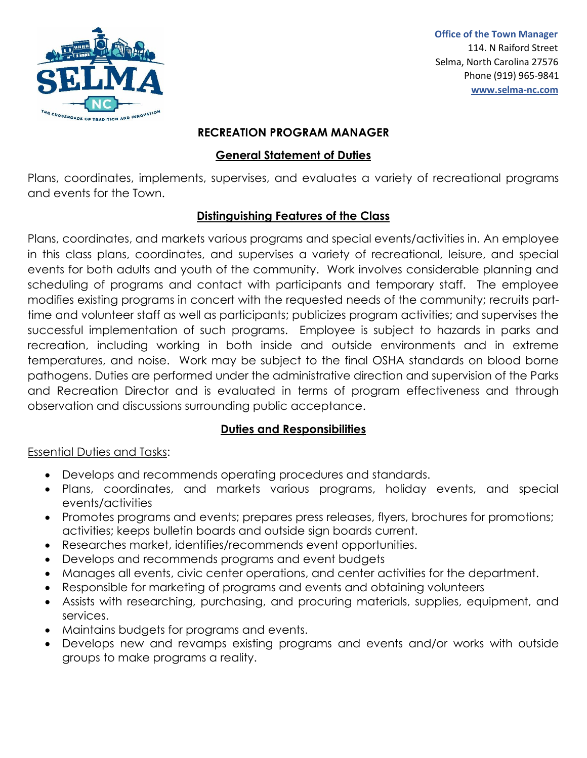

 **Office of the Town Manager**  114. N Raiford Street Selma, North Carolina 27576 Phone (919) 965-9841  **[www.selma-nc.com](http://www.selma-nc.com/)**

#### **RECREATION PROGRAM MANAGER**

## **General Statement of Duties**

Plans, coordinates, implements, supervises, and evaluates a variety of recreational programs and events for the Town.

### **Distinguishing Features of the Class**

Plans, coordinates, and markets various programs and special events/activities in. An employee in this class plans, coordinates, and supervises a variety of recreational, leisure, and special events for both adults and youth of the community. Work involves considerable planning and scheduling of programs and contact with participants and temporary staff. The employee modifies existing programs in concert with the requested needs of the community; recruits parttime and volunteer staff as well as participants; publicizes program activities; and supervises the successful implementation of such programs. Employee is subject to hazards in parks and recreation, including working in both inside and outside environments and in extreme temperatures, and noise. Work may be subject to the final OSHA standards on blood borne pathogens. Duties are performed under the administrative direction and supervision of the Parks and Recreation Director and is evaluated in terms of program effectiveness and through observation and discussions surrounding public acceptance.

# **Duties and Responsibilities**

### Essential Duties and Tasks:

- Develops and recommends operating procedures and standards.
- Plans, coordinates, and markets various programs, holiday events, and special events/activities
- Promotes programs and events; prepares press releases, flyers, brochures for promotions; activities; keeps bulletin boards and outside sign boards current.
- Researches market, identifies/recommends event opportunities.
- Develops and recommends programs and event budgets
- Manages all events, civic center operations, and center activities for the department.
- Responsible for marketing of programs and events and obtaining volunteers
- Assists with researching, purchasing, and procuring materials, supplies, equipment, and services.
- Maintains budgets for programs and events.
- Develops new and revamps existing programs and events and/or works with outside groups to make programs a reality.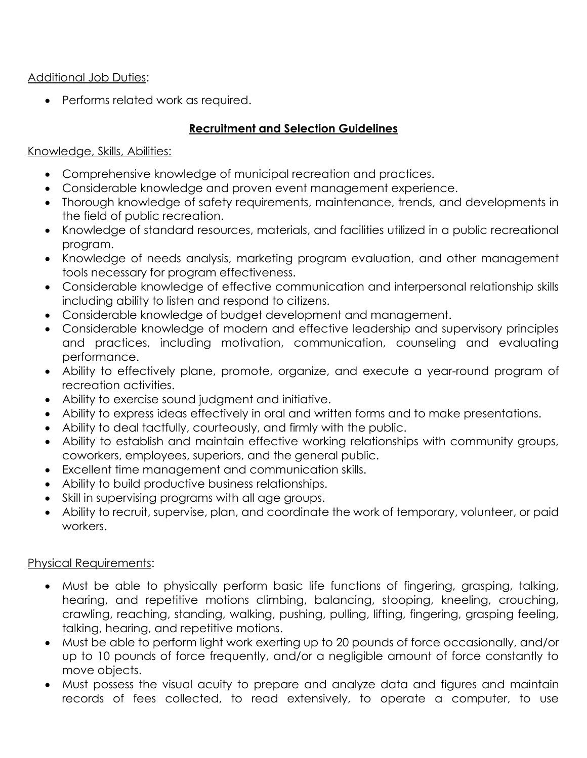### Additional Job Duties:

• Performs related work as required.

### **Recruitment and Selection Guidelines**

#### Knowledge, Skills, Abilities:

- Comprehensive knowledge of municipal recreation and practices.
- Considerable knowledge and proven event management experience.
- Thorough knowledge of safety requirements, maintenance, trends, and developments in the field of public recreation.
- Knowledge of standard resources, materials, and facilities utilized in a public recreational program.
- Knowledge of needs analysis, marketing program evaluation, and other management tools necessary for program effectiveness.
- Considerable knowledge of effective communication and interpersonal relationship skills including ability to listen and respond to citizens.
- Considerable knowledge of budget development and management.
- Considerable knowledge of modern and effective leadership and supervisory principles and practices, including motivation, communication, counseling and evaluating performance.
- Ability to effectively plane, promote, organize, and execute a year-round program of recreation activities.
- Ability to exercise sound judgment and initiative.
- Ability to express ideas effectively in oral and written forms and to make presentations.
- Ability to deal tactfully, courteously, and firmly with the public.
- Ability to establish and maintain effective working relationships with community groups, coworkers, employees, superiors, and the general public.
- Excellent time management and communication skills.
- Ability to build productive business relationships.
- Skill in supervising programs with all age groups.
- Ability to recruit, supervise, plan, and coordinate the work of temporary, volunteer, or paid workers.

#### Physical Requirements:

- Must be able to physically perform basic life functions of fingering, grasping, talking, hearing, and repetitive motions climbing, balancing, stooping, kneeling, crouching, crawling, reaching, standing, walking, pushing, pulling, lifting, fingering, grasping feeling, talking, hearing, and repetitive motions.
- Must be able to perform light work exerting up to 20 pounds of force occasionally, and/or up to 10 pounds of force frequently, and/or a negligible amount of force constantly to move objects.
- Must possess the visual acuity to prepare and analyze data and figures and maintain records of fees collected, to read extensively, to operate a computer, to use